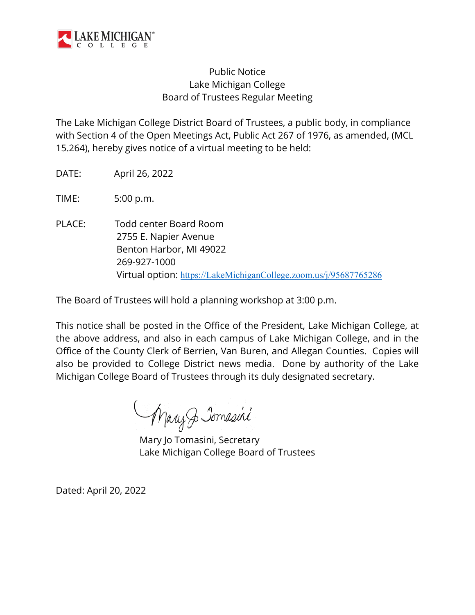

# Public Notice Lake Michigan College Board of Trustees Regular Meeting

The Lake Michigan College District Board of Trustees, a public body, in compliance with Section 4 of the Open Meetings Act, Public Act 267 of 1976, as amended, (MCL 15.264), hereby gives notice of a virtual meeting to be held:

DATE: April 26, 2022

TIME: 5:00 p.m.

PLACE: Todd center Board Room 2755 E. Napier Avenue Benton Harbor, MI 49022 269-927-1000 Virtual option: [https://LakeMichiganCollege.zoom.us/j/95687765286](https://lakemichigancollege.zoom.us/j/95687765286)

The Board of Trustees will hold a planning workshop at 3:00 p.m.

This notice shall be posted in the Office of the President, Lake Michigan College, at the above address, and also in each campus of Lake Michigan College, and in the Office of the County Clerk of Berrien, Van Buren, and Allegan Counties. Copies will also be provided to College District news media. Done by authority of the Lake Michigan College Board of Trustees through its duly designated secretary.

Mary Jomasini

Mary Jo Tomasini, Secretary Lake Michigan College Board of Trustees

Dated: April 20, 2022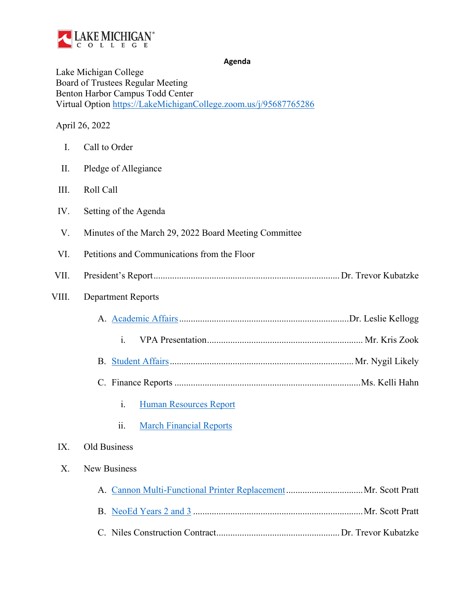

**Agenda**

Lake Michigan College Board of Trustees Regular Meeting Benton Harbor Campus Todd Center Virtual Option [https://LakeMichiganCollege.zoom.us/j/95687765286](https://lakemichigancollege.zoom.us/j/95687765286)

## April 26, 2022

<span id="page-1-0"></span>

| I.    | Call to Order                                         |  |  |
|-------|-------------------------------------------------------|--|--|
| II.   | Pledge of Allegiance                                  |  |  |
| III.  | Roll Call                                             |  |  |
| IV.   | Setting of the Agenda                                 |  |  |
| V.    | Minutes of the March 29, 2022 Board Meeting Committee |  |  |
| VI.   | Petitions and Communications from the Floor           |  |  |
| VII.  |                                                       |  |  |
| VIII. | <b>Department Reports</b>                             |  |  |
|       |                                                       |  |  |
|       | $\mathbf{i}$ .                                        |  |  |
|       |                                                       |  |  |
|       |                                                       |  |  |
|       | $\mathbf{i}$ .<br><b>Human Resources Report</b>       |  |  |
|       | ii.<br><b>March Financial Reports</b>                 |  |  |
| IX.   | <b>Old Business</b>                                   |  |  |
| X.    | New Business                                          |  |  |
|       |                                                       |  |  |
|       |                                                       |  |  |
|       |                                                       |  |  |